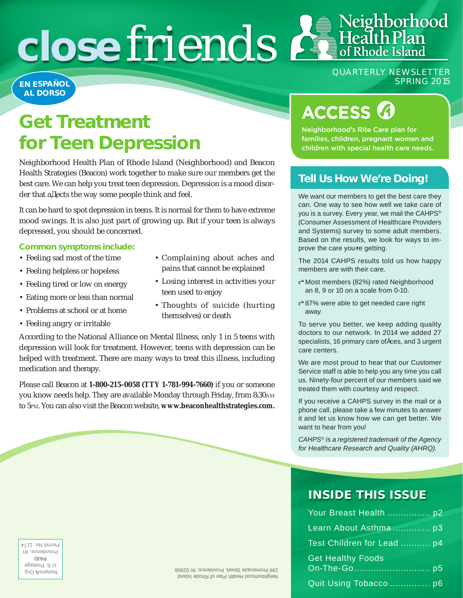# **close friends**  $\mathbf{f}$  **Health Plan**

#### **EN ESPAÑOL AL DORSO**

QUARTERLY NEWSLETTER SPRING 2015

Neighborhood

## **Get Treatment for Teen Depression**

Neighborhood Health Plan of Rhode Island (Neighborhood) and Beacon Health Strategies (Beacon) work together to make sure our members get the best care. We can help you treat teen depression. Depression is a mood disorder that af ects the way some people think and feel.

It can be hard to spot depression in teens. It is normal for them to have extreme mood swings. It is also just part of growing up. But if your teen is always depressed, you should be concerned.

#### **Common symptoms include:**

- Feeling sad most of the time
- Feeling helpless or hopeless
- Feeling tired or low on energy
- Eating more or less than normal
- Problems at school or at home
- Feeling angry or irritable
- Complaining about aches and pains that cannot be explained
- Losing interest in activities your teen used to enjoy
- Thoughts of suicide (hurting themselves) or death

According to the National Alliance on Mental Illness, only 1 in 5 teens with depression will look for treatment. However, teens with depression can be helped with treatment. There are many ways to treat this illness, including medication and therapy.

Please call Beacon at **1-800-215-0058 (TTY 1-781-994-7660)** if you or someone you know needs help. They are available Monday through Friday, from 8:30am to 5pm. You can also visit the Beacon website, **www.beaconhealthstrategies.com.** 

## **ACCESS 6**

Neighborhood's RIte Care plan for families, children, pregnant women and children with special health care needs.

#### **Tell Us How We're Doing!**

We want our members to get the best care they can. One way to see how well we take care of you is a survey. Every year, we mail the CAHPS® (Consumer Assessment of Healthcare Providers and Systems) survey to some adult members. Based on the results, we look for ways to improve the care you're getting.

The 2014 CAHPS results told us how happy members are with their care.

- Most members (82%) rated Neighborhood an 8, 9 or 10 on a scale from 0-10.
- 87% were able to get needed care right away.

To serve you better, we keep adding quality doctors to our network. In 2014 we added 27 specialists, 16 primary care offices, and 3 urgent care centers.

We are most proud to hear that our Customer Service staff is able to help you any time you call us. Ninety-four percent of our members said we treated them with courtesy and respect.

If you receive a CAHPS survey in the mail or a phone call, please take a few minutes to answer it and let us know how we can get better. We want to hear from you!

*CAHPS® is a registered trademark of the Agency for Healthcare Research and Quality (AHRQ).*

### **INSIDE THIS ISSUE**

| Your Breast Health  p2     |  |
|----------------------------|--|
| Learn About Asthma p3      |  |
| Test Children for Lead  p4 |  |
| <b>Get Healthy Foods</b>   |  |
| Quit Using Tobacco  p6     |  |